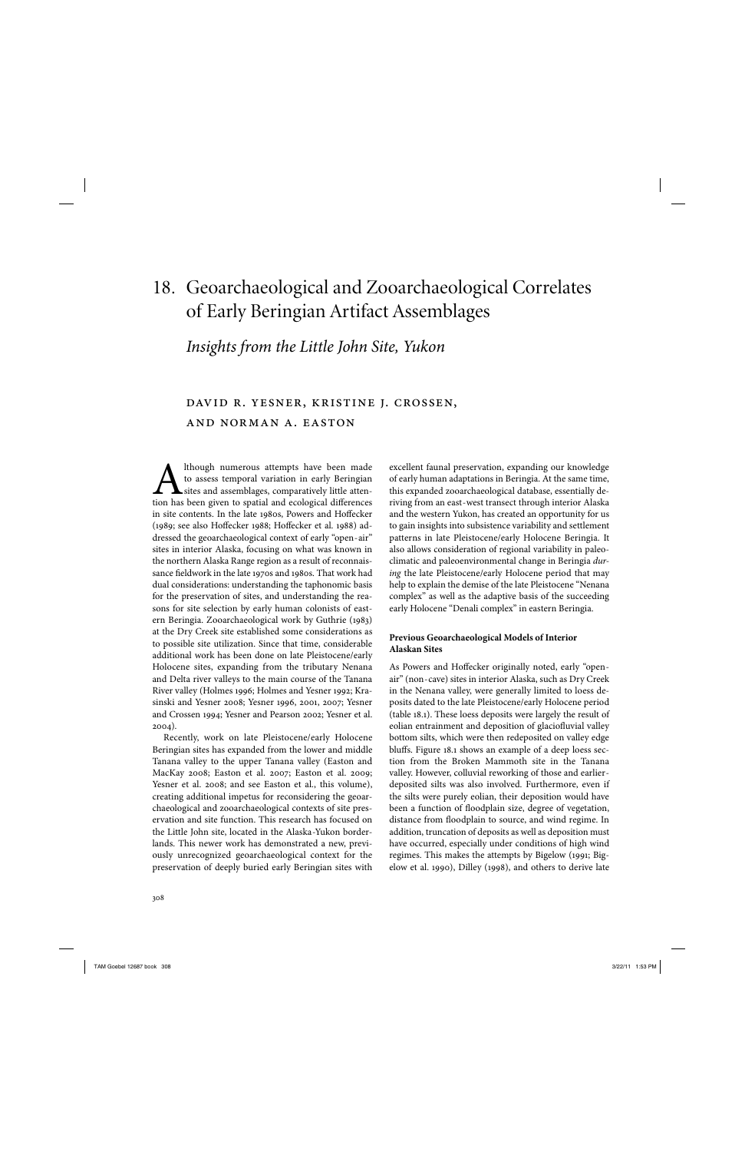## 18. Geoarchaeological and Zooarchaeological Correlates of Early Beringian Artifact Assemblages

## *Insights from the Little John Site, Yukon*

## david r. yesner, kristine j. crossen, and norman a. easton

Ithough numerous attempts have been made to assess temporal variation in early Beringian sites and assemblages, comparatively little attention has been given to spatial and ecological differences in site contents. In the late 1980s, Powers and Hoffecker (1989; see also Hoffecker 1988; Hoffecker et al. 1988) addressed the geoarchaeological context of early "open- air" sites in interior Alaska, focusing on what was known in the northern Alaska Range region as a result of reconnaissance fieldwork in the late 1970s and 1980s. That work had dual considerations: understanding the taphonomic basis for the preservation of sites, and understanding the reasons for site selection by early human colonists of eastern Beringia. Zooarchaeological work by Guthrie (1983) at the Dry Creek site established some considerations as to possible site utilization. Since that time, considerable additional work has been done on late Pleistocene/early Holocene sites, expanding from the tributary Nenana and Delta river valleys to the main course of the Tanana River valley (Holmes 1996; Holmes and Yesner 1992; Krasinski and Yesner 2008; Yesner 1996, 2001, 2007; Yesner and Crossen 1994; Yesner and Pearson 2002; Yesner et al. 2004).

Recently, work on late Pleistocene/early Holocene Beringian sites has expanded from the lower and middle Tanana valley to the upper Tanana valley (Easton and MacKay 2008; Easton et al. 2007; Easton et al. 2009; Yesner et al. 2008; and see Easton et al., this volume), creating additional impetus for reconsidering the geoarchaeological and zooarchaeological contexts of site preservation and site function. This research has focused on the Little John site, located in the Alaska-Yukon borderlands. This newer work has demonstrated a new, previously unrecognized geoarchaeological context for the preservation of deeply buried early Beringian sites with excellent faunal preservation, expanding our knowledge of early human adaptations in Beringia. At the same time, this expanded zooarchaeological database, essentially deriving from an east- west transect through interior Alaska and the western Yukon, has created an opportunity for us to gain insights into subsistence variability and settlement patterns in late Pleistocene/early Holocene Beringia. It also allows consideration of regional variability in paleoclimatic and paleoenvironmental change in Beringia *during* the late Pleistocene/early Holocene period that may help to explain the demise of the late Pleistocene "Nenana complex" as well as the adaptive basis of the succeeding early Holocene "Denali complex" in eastern Beringia.

### **Previous Geoarchaeological Models of Interior Alaskan Sites**

As Powers and Hoffecker originally noted, early "openair" (non- cave) sites in interior Alaska, such as Dry Creek in the Nenana valley, were generally limited to loess deposits dated to the late Pleistocene/early Holocene period (table 18.1). These loess deposits were largely the result of eolian entrainment and deposition of glaciofluvial valley bottom silts, which were then redeposited on valley edge bluffs. Figure 18.1 shows an example of a deep loess section from the Broken Mammoth site in the Tanana valley. However, colluvial reworking of those and earlierdeposited silts was also involved. Furthermore, even if the silts were purely eolian, their deposition would have been a function of floodplain size, degree of vegetation, distance from floodplain to source, and wind regime. In addition, truncation of deposits as well as deposition must have occurred, especially under conditions of high wind regimes. This makes the attempts by Bigelow (1991; Bigelow et al. 1990), Dilley (1998), and others to derive late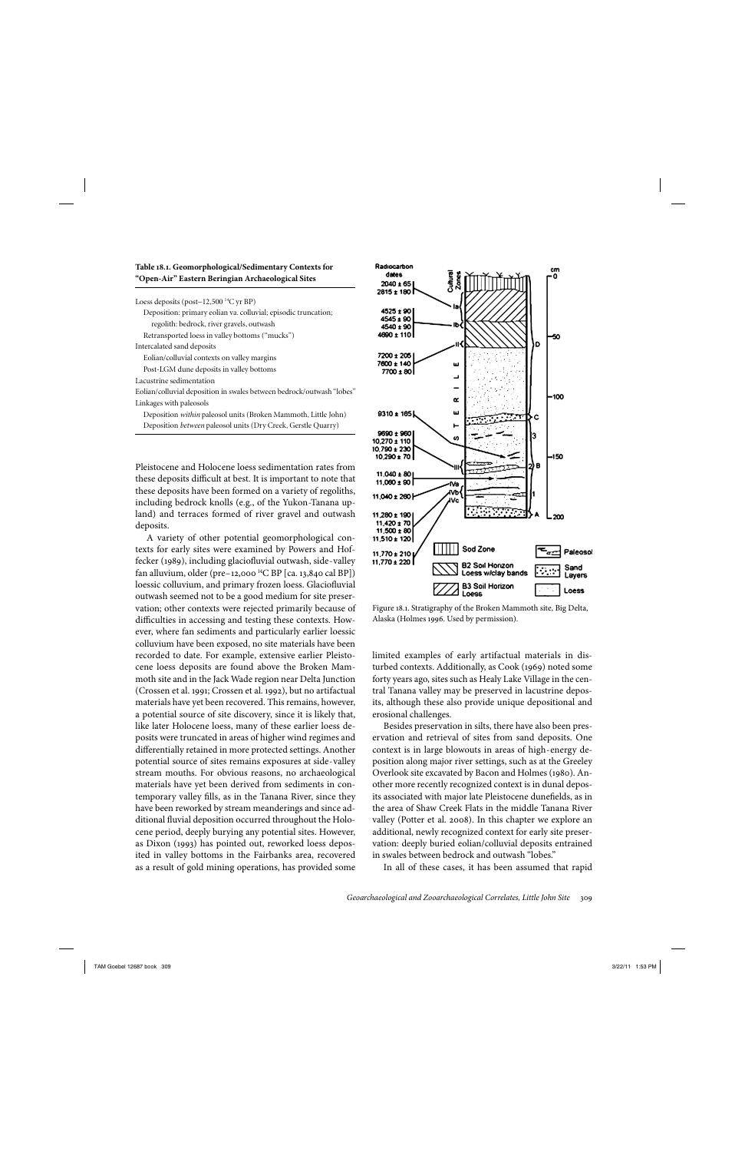| Table 18.1. Geomorphological/Sedimentary Contexts for |  |  |
|-------------------------------------------------------|--|--|
| "Open-Air" Eastern Beringian Archaeological Sites     |  |  |

| Loess deposits (post-12,500 <sup>14</sup> C yr BP) |  |  |
|----------------------------------------------------|--|--|
|----------------------------------------------------|--|--|

| Deposition: primary eolian va. colluvial; episodic truncation;        |
|-----------------------------------------------------------------------|
| regolith: bedrock, river gravels, outwash                             |
| Retransported loess in valley bottoms ("mucks")                       |
| Intercalated sand deposits                                            |
| Eolian/colluvial contexts on valley margins                           |
| Post-LGM dune deposits in valley bottoms                              |
| Lacustrine sedimentation                                              |
| Eolian/colluvial deposition in swales between bedrock/outwash "lobes" |
| Linkages with paleosols                                               |
| Deposition <i>within</i> paleosol units (Broken Mammoth, Little John) |
| Deposition <i>between</i> paleosol units (Dry Creek, Gerstle Quarry)  |
|                                                                       |

Pleistocene and Holocene loess sedimentation rates from these deposits difficult at best. It is important to note that these deposits have been formed on a variety of regoliths, including bedrock knolls (e.g., of the Yukon-Tanana upland) and terraces formed of river gravel and outwash deposits.

A variety of other potential geomorphological contexts for early sites were examined by Powers and Hoffecker (1989), including glaciofluvial outwash, side-valley fan alluvium, older (pre-12,000<sup>14</sup>C BP [ca. 13,840 cal BP]) loessic colluvium, and primary frozen loess. Glaciofluvial outwash seemed not to be a good medium for site preservation; other contexts were rejected primarily because of difficulties in accessing and testing these contexts. However, where fan sediments and particularly earlier loessic colluvium have been exposed, no site materials have been recorded to date. For example, extensive earlier Pleistocene loess deposits are found above the Broken Mammoth site and in the Jack Wade region near Delta Junction (Crossen et al. 1991; Crossen et al. 1992), but no artifactual materials have yet been recovered. This remains, however, a potential source of site discovery, since it is likely that, like later Holocene loess, many of these earlier loess deposits were truncated in areas of higher wind regimes and differentially retained in more protected settings. Another potential source of sites remains exposures at side- valley stream mouths. For obvious reasons, no archaeological materials have yet been derived from sediments in contemporary valley fills, as in the Tanana River, since they have been reworked by stream meanderings and since additional fluvial deposition occurred throughout the Holocene period, deeply burying any potential sites. However, as Dixon (1993) has pointed out, reworked loess deposited in valley bottoms in the Fairbanks area, recovered as a result of gold mining operations, has provided some



Figure 18.1. Stratigraphy of the Broken Mammoth site, Big Delta, Alaska (Holmes 1996. Used by permission).

limited examples of early artifactual materials in disturbed contexts. Additionally, as Cook (1969) noted some forty years ago, sites such as Healy Lake Village in the central Tanana valley may be preserved in lacustrine deposits, although these also provide unique depositional and erosional challenges.

Besides preservation in silts, there have also been preservation and retrieval of sites from sand deposits. One context is in large blowouts in areas of high- energy deposition along major river settings, such as at the Greeley Overlook site excavated by Bacon and Holmes (1980). Another more recently recognized context is in dunal deposits associated with major late Pleistocene dunefields, as in the area of Shaw Creek Flats in the middle Tanana River valley (Potter et al. 2008). In this chapter we explore an additional, newly recognized context for early site preservation: deeply buried eolian/colluvial deposits entrained in swales between bedrock and outwash "lobes."

In all of these cases, it has been assumed that rapid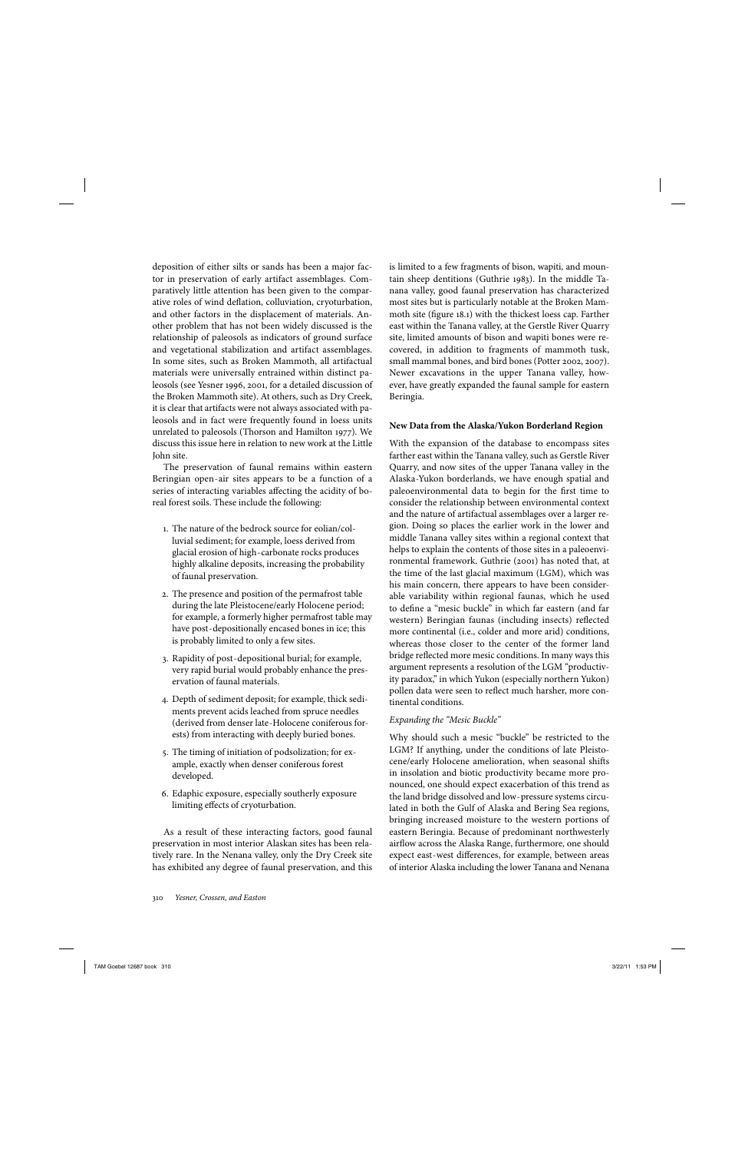deposition of either silts or sands has been a major factor in preservation of early artifact assemblages. Comparatively little attention has been given to the comparative roles of wind deflation, colluviation, cryoturbation, and other factors in the displacement of materials. Another problem that has not been widely discussed is the relationship of paleosols as indicators of ground surface and vegetational stabilization and artifact assemblages. In some sites, such as Broken Mammoth, all artifactual materials were universally entrained within distinct paleosols (see Yesner 1996, 2001, for a detailed discussion of the Broken Mammoth site). At others, such as Dry Creek, it is clear that artifacts were not always associated with paleosols and in fact were frequently found in loess units unrelated to paleosols (Thorson and Hamilton 1977). We discuss this issue here in relation to new work at the Little John site.

The preservation of faunal remains within eastern Beringian open- air sites appears to be a function of a series of interacting variables affecting the acidity of boreal forest soils. These include the following:

- 1. The nature of the bedrock source for eolian/colluvial sediment; for example, loess derived from glacial erosion of high- carbonate rocks produces highly alkaline deposits, increasing the probability of faunal preservation.
- 2. The presence and position of the permafrost table during the late Pleistocene/early Holocene period; for example, a formerly higher permafrost table may have post- depositionally encased bones in ice; this is probably limited to only a few sites.
- 3. Rapidity of post- depositional burial; for example, very rapid burial would probably enhance the preservation of faunal materials.
- 4. Depth of sediment deposit; for example, thick sediments prevent acids leached from spruce needles (derived from denser late- Holocene coniferous forests) from interacting with deeply buried bones.
- 5. The timing of initiation of podsolization; for example, exactly when denser coniferous forest developed.
- 6. Edaphic exposure, especially southerly exposure limiting effects of cryoturbation.

As a result of these interacting factors, good faunal preservation in most interior Alaskan sites has been relatively rare. In the Nenana valley, only the Dry Creek site has exhibited any degree of faunal preservation, and this is limited to a few fragments of bison, wapiti, and mountain sheep dentitions (Guthrie 1983). In the middle Tanana valley, good faunal preservation has characterized most sites but is particularly notable at the Broken Mammoth site (figure 18.1) with the thickest loess cap. Farther east within the Tanana valley, at the Gerstle River Quarry site, limited amounts of bison and wapiti bones were recovered, in addition to fragments of mammoth tusk, small mammal bones, and bird bones (Potter 2002, 2007). Newer excavations in the upper Tanana valley, however, have greatly expanded the faunal sample for eastern Beringia.

#### **New Data from the Alaska/Yukon Borderland Region**

With the expansion of the database to encompass sites farther east within the Tanana valley, such as Gerstle River Quarry, and now sites of the upper Tanana valley in the Alaska- Yukon borderlands, we have enough spatial and paleoenvironmental data to begin for the first time to consider the relationship between environmental context and the nature of artifactual assemblages over a larger region. Doing so places the earlier work in the lower and middle Tanana valley sites within a regional context that helps to explain the contents of those sites in a paleoenvironmental framework. Guthrie (2001) has noted that, at the time of the last glacial maximum (LGM), which was his main concern, there appears to have been considerable variability within regional faunas, which he used to define a "mesic buckle" in which far eastern (and far western) Beringian faunas (including insects) reflected more continental (i.e., colder and more arid) conditions, whereas those closer to the center of the former land bridge reflected more mesic conditions. In many ways this argument represents a resolution of the LGM "productivity paradox," in which Yukon (especially northern Yukon) pollen data were seen to reflect much harsher, more continental conditions.

#### *Expanding the "Mesic Buckle"*

Why should such a mesic "buckle" be restricted to the LGM? If anything, under the conditions of late Pleistocene/early Holocene amelioration, when seasonal shifts in insolation and biotic productivity became more pronounced, one should expect exacerbation of this trend as the land bridge dissolved and low- pressure systems circulated in both the Gulf of Alaska and Bering Sea regions, bringing increased moisture to the western portions of eastern Beringia. Because of predominant northwesterly airflow across the Alaska Range, furthermore, one should expect east-west differences, for example, between areas of interior Alaska including the lower Tanana and Nenana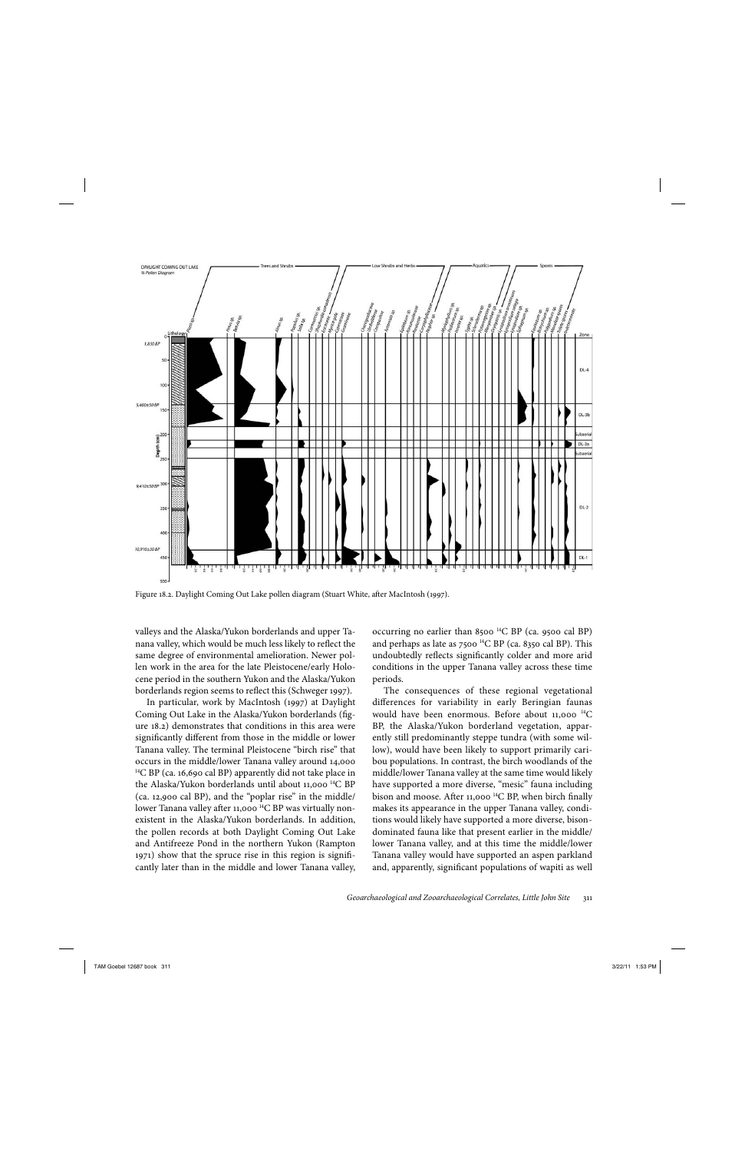

Figure 18.2. Daylight Coming Out Lake pollen diagram (Stuart White, after MacIntosh (1997).

valleys and the Alaska/Yukon borderlands and upper Tanana valley, which would be much less likely to reflect the same degree of environmental amelioration. Newer pollen work in the area for the late Pleistocene/early Holocene period in the southern Yukon and the Alaska/Yukon borderlands region seems to reflect this (Schweger 1997).

In particular, work by MacIntosh (1997) at Daylight Coming Out Lake in the Alaska/Yukon borderlands (figure 18.2) demonstrates that conditions in this area were significantly different from those in the middle or lower Tanana valley. The terminal Pleistocene "birch rise" that occurs in the middle/lower Tanana valley around 14,000 <sup>14</sup>C BP (ca. 16,690 cal BP) apparently did not take place in the Alaska/Yukon borderlands until about 11,000<sup>14</sup>C BP (ca. 12,900 cal BP), and the "poplar rise" in the middle/ lower Tanana valley after 11,000<sup>14</sup>C BP was virtually nonexistent in the Alaska/Yukon borderlands. In addition, the pollen records at both Daylight Coming Out Lake and Antifreeze Pond in the northern Yukon (Rampton 1971) show that the spruce rise in this region is signifi cantly later than in the middle and lower Tanana valley, occurring no earlier than 8500  $^{14}$ C BP (ca. 9500 cal BP) and perhaps as late as  $7500$  <sup>14</sup>C BP (ca. 8350 cal BP). This undoubtedly reflects significantly colder and more arid conditions in the upper Tanana valley across these time periods.

The consequences of these regional vegetational differences for variability in early Beringian faunas would have been enormous. Before about  $11,000$  <sup>14</sup>C BP, the Alaska/Yukon borderland vegetation, apparently still predominantly steppe tundra (with some willow), would have been likely to support primarily caribou populations. In contrast, the birch woodlands of the middle/lower Tanana valley at the same time would likely have supported a more diverse, "mesic" fauna including bison and moose. After 11,000  $^{14}$ C BP, when birch finally makes its appearance in the upper Tanana valley, conditions would likely have supported a more diverse, bisondominated fauna like that present earlier in the middle/ lower Tanana valley, and at this time the middle/lower Tanana valley would have supported an aspen parkland and, apparently, significant populations of wapiti as well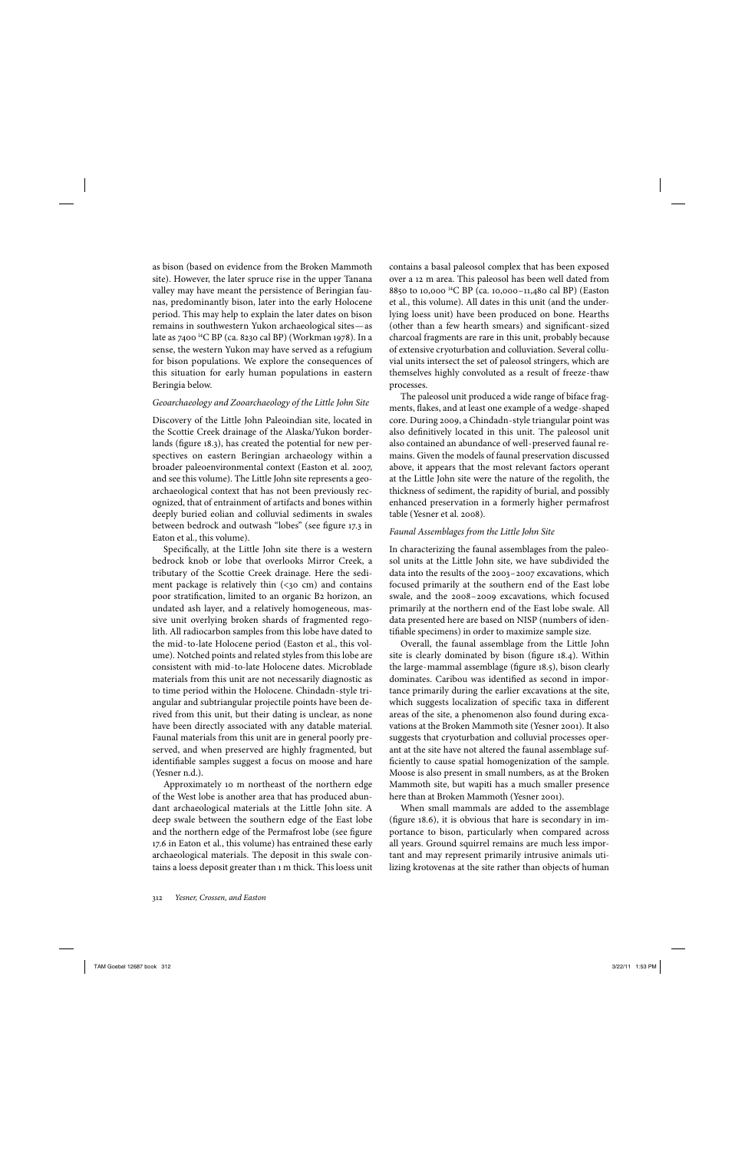as bison (based on evidence from the Broken Mammoth site). However, the later spruce rise in the upper Tanana valley may have meant the persistence of Beringian faunas, predominantly bison, later into the early Holocene period. This may help to explain the later dates on bison remains in southwestern Yukon archaeological sites—as late as 7400<sup>14</sup>C BP (ca. 8230 cal BP) (Workman 1978). In a sense, the western Yukon may have served as a refugium for bison populations. We explore the consequences of this situation for early human populations in eastern Beringia below.

#### *Geoarchaeology and Zooarchaeology of the Little John Site*

Discovery of the Little John Paleoindian site, located in the Scottie Creek drainage of the Alaska/Yukon borderlands (figure 18.3), has created the potential for new perspectives on eastern Beringian archaeology within a broader paleoenvironmental context (Easton et al. 2007, and see this volume). The Little John site represents a geoarchaeological context that has not been previously recognized, that of entrainment of artifacts and bones within deeply buried eolian and colluvial sediments in swales between bedrock and outwash "lobes" (see figure 17.3 in Eaton et al., this volume).

Specifically, at the Little John site there is a western bedrock knob or lobe that overlooks Mirror Creek, a tributary of the Scottie Creek drainage. Here the sediment package is relatively thin  $(<sub>30</sub> cm)$  and contains poor stratification, limited to an organic B2 horizon, an undated ash layer, and a relatively homogeneous, massive unit overlying broken shards of fragmented regolith. All radiocarbon samples from this lobe have dated to the mid- to-late Holocene period (Easton et al., this volume). Notched points and related styles from this lobe are consistent with mid- to-late Holocene dates. Microblade materials from this unit are not necessarily diagnostic as to time period within the Holocene. Chindadn- style triangular and subtriangular projectile points have been derived from this unit, but their dating is unclear, as none have been directly associated with any datable material. Faunal materials from this unit are in general poorly preserved, and when preserved are highly fragmented, but identifiable samples suggest a focus on moose and hare (Yesner n.d.).

Approximately 10 m northeast of the northern edge of the West lobe is another area that has produced abundant archaeological materials at the Little John site. A deep swale between the southern edge of the East lobe and the northern edge of the Permafrost lobe (see figure 17.6 in Eaton et al., this volume) has entrained these early archaeological materials. The deposit in this swale contains a loess deposit greater than 1 m thick. This loess unit contains a basal paleosol complex that has been exposed over a 12 m area. This paleosol has been well dated from 8850 to 10,000  $^{14}$ C BP (ca. 10,000-11,480 cal BP) (Easton et al., this volume). All dates in this unit (and the underlying loess unit) have been produced on bone. Hearths (other than a few hearth smears) and significant-sized charcoal fragments are rare in this unit, probably because of extensive cryoturbation and colluviation. Several colluvial units intersect the set of paleosol stringers, which are themselves highly convoluted as a result of freeze- thaw processes.

The paleosol unit produced a wide range of biface fragments, flakes, and at least one example of a wedge-shaped core. During 2009, a Chindadn- style triangular point was also definitively located in this unit. The paleosol unit also contained an abundance of well- preserved faunal remains. Given the models of faunal preservation discussed above, it appears that the most relevant factors operant at the Little John site were the nature of the regolith, the thickness of sediment, the rapidity of burial, and possibly enhanced preservation in a formerly higher permafrost table (Yesner et al. 2008).

#### *Faunal Assemblages from the Little John Site*

In characterizing the faunal assemblages from the paleosol units at the Little John site, we have subdivided the data into the results of the 2003– 2007 excavations, which focused primarily at the southern end of the East lobe swale, and the 2008– 2009 excavations, which focused primarily at the northern end of the East lobe swale. All data presented here are based on NISP (numbers of identifiable specimens) in order to maximize sample size.

Overall, the faunal assemblage from the Little John site is clearly dominated by bison (figure 18.4). Within the large-mammal assemblage (figure 18.5), bison clearly dominates. Caribou was identified as second in importance primarily during the earlier excavations at the site, which suggests localization of specific taxa in different areas of the site, a phenomenon also found during excavations at the Broken Mammoth site (Yesner 2001). It also suggests that cryoturbation and colluvial processes operant at the site have not altered the faunal assemblage sufficiently to cause spatial homogenization of the sample. Moose is also present in small numbers, as at the Broken Mammoth site, but wapiti has a much smaller presence here than at Broken Mammoth (Yesner 2001).

When small mammals are added to the assemblage (figure  $18.6$ ), it is obvious that hare is secondary in importance to bison, particularly when compared across all years. Ground squirrel remains are much less important and may represent primarily intrusive animals utilizing krotovenas at the site rather than objects of human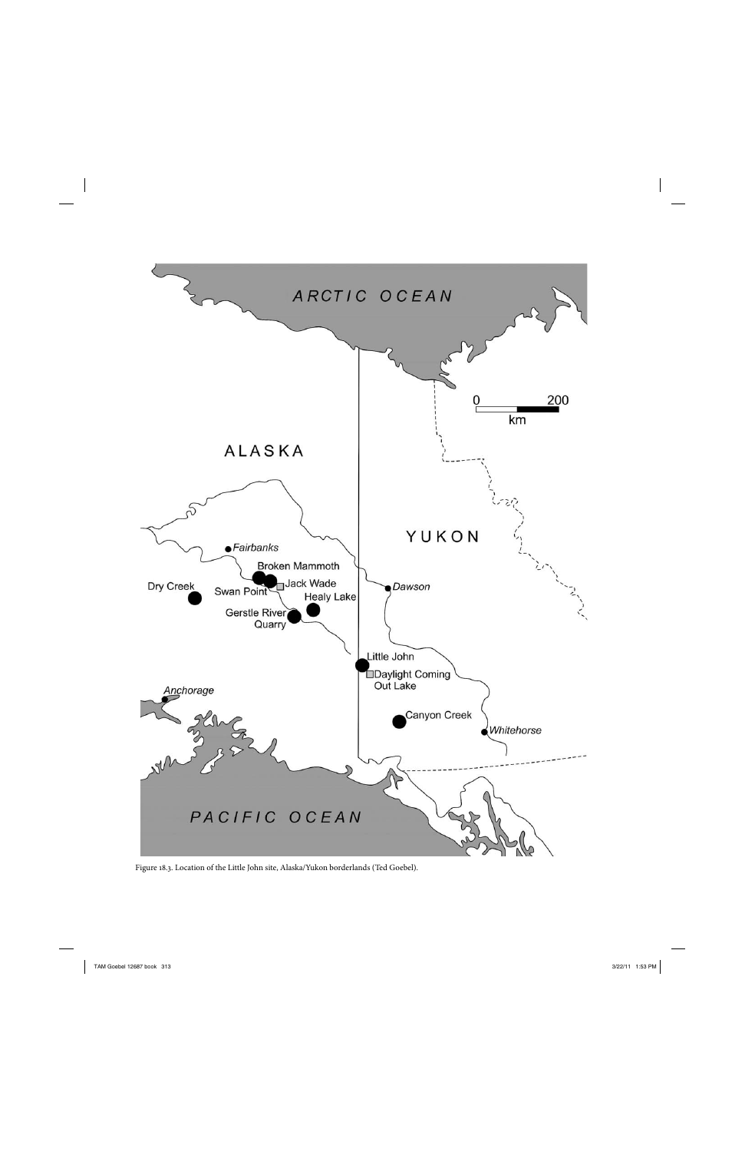

Figure 18.3. Location of the Little John site, Alaska/Yukon borderlands (Ted Goebel).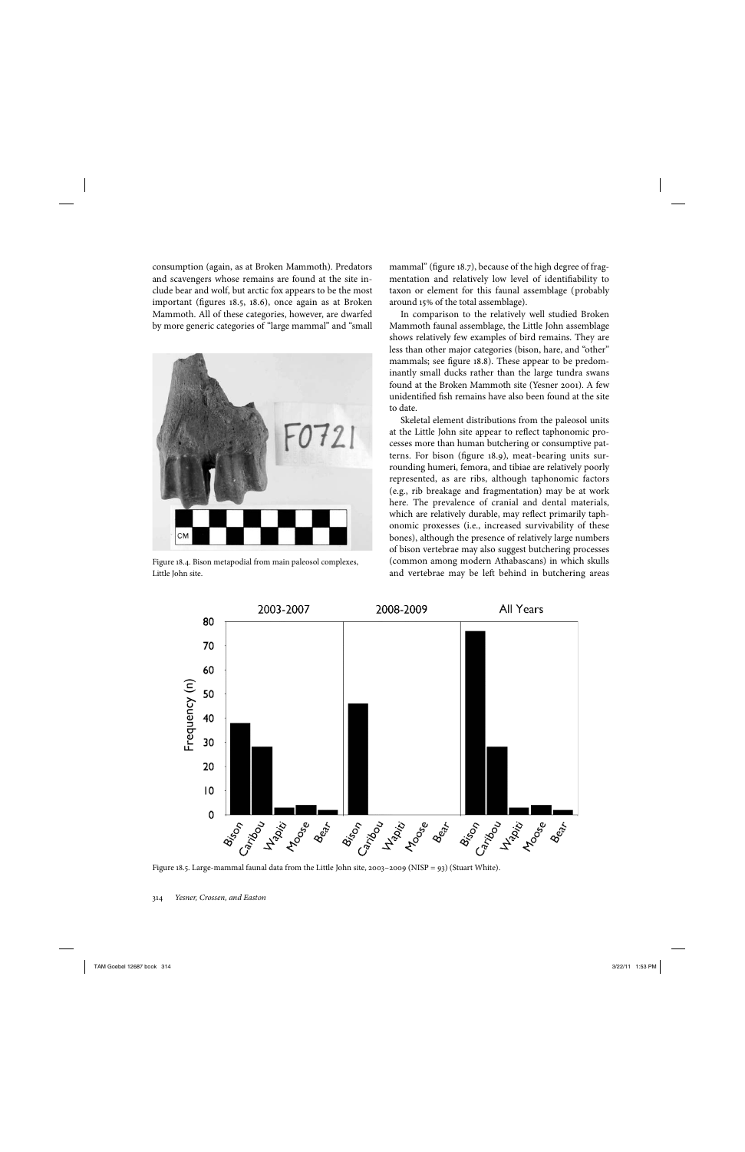consumption (again, as at Broken Mammoth). Predators and scavengers whose remains are found at the site include bear and wolf, but arctic fox appears to be the most important (figures 18.5, 18.6), once again as at Broken Mammoth. All of these categories, however, are dwarfed by more generic categories of "large mammal" and "small



Figure 18.4. Bison metapodial from main paleosol complexes, Little John site.

mammal" (figure 18.7), because of the high degree of fragmentation and relatively low level of identifiability to taxon or element for this faunal assemblage (probably around 15% of the total assemblage).

In comparison to the relatively well studied Broken Mammoth faunal assemblage, the Little John assemblage shows relatively few examples of bird remains. They are less than other major categories (bison, hare, and "other" mammals; see figure 18.8). These appear to be predominantly small ducks rather than the large tundra swans found at the Broken Mammoth site (Yesner 2001). A few unidentified fish remains have also been found at the site to date.

Skeletal element distributions from the paleosol units at the Little John site appear to reflect taphonomic processes more than human butchering or consumptive patterns. For bison (figure 18.9), meat-bearing units surrounding humeri, femora, and tibiae are relatively poorly represented, as are ribs, although taphonomic factors (e.g., rib breakage and fragmentation) may be at work here. The prevalence of cranial and dental materials, which are relatively durable, may reflect primarily taphonomic proxesses (i.e., increased survivability of these bones), although the presence of relatively large numbers of bison vertebrae may also suggest butchering processes (common among modern Athabascans) in which skulls and vertebrae may be left behind in butchering areas



Figure 18.5. Large-mammal faunal data from the Little John site, 2003–2009 (NISP = 93) (Stuart White).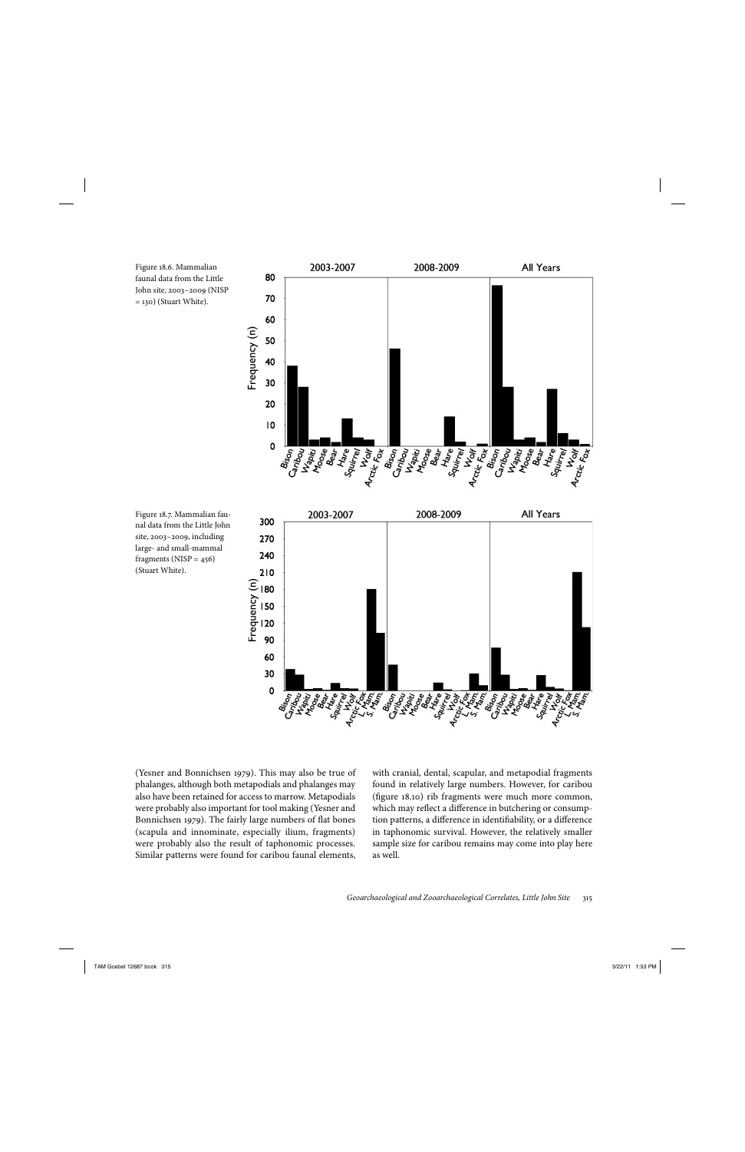Figure 18.6. Mammalian faunal data from the Little John site, 2003– 2009 (NISP = 130) (Stuart White).



Figure 18.7. Mammalian faunal data from the Little John site, 2003– 2009, including large- and small-mammal fragments ( $NISP = 456$ ) (Stuart White).



(Yesner and Bonnichsen 1979). This may also be true of phalanges, although both metapodials and phalanges may also have been retained for access to marrow. Metapodials were probably also important for tool making (Yesner and Bonnichsen 1979). The fairly large numbers of flat bones (scapula and innominate, especially ilium, fragments) were probably also the result of taphonomic processes. Similar patterns were found for caribou faunal elements, with cranial, dental, scapular, and metapodial fragments found in relatively large numbers. However, for caribou (figure 18.10) rib fragments were much more common, which may reflect a difference in butchering or consumption patterns, a difference in identifiability, or a difference in taphonomic survival. However, the relatively smaller sample size for caribou remains may come into play here as well.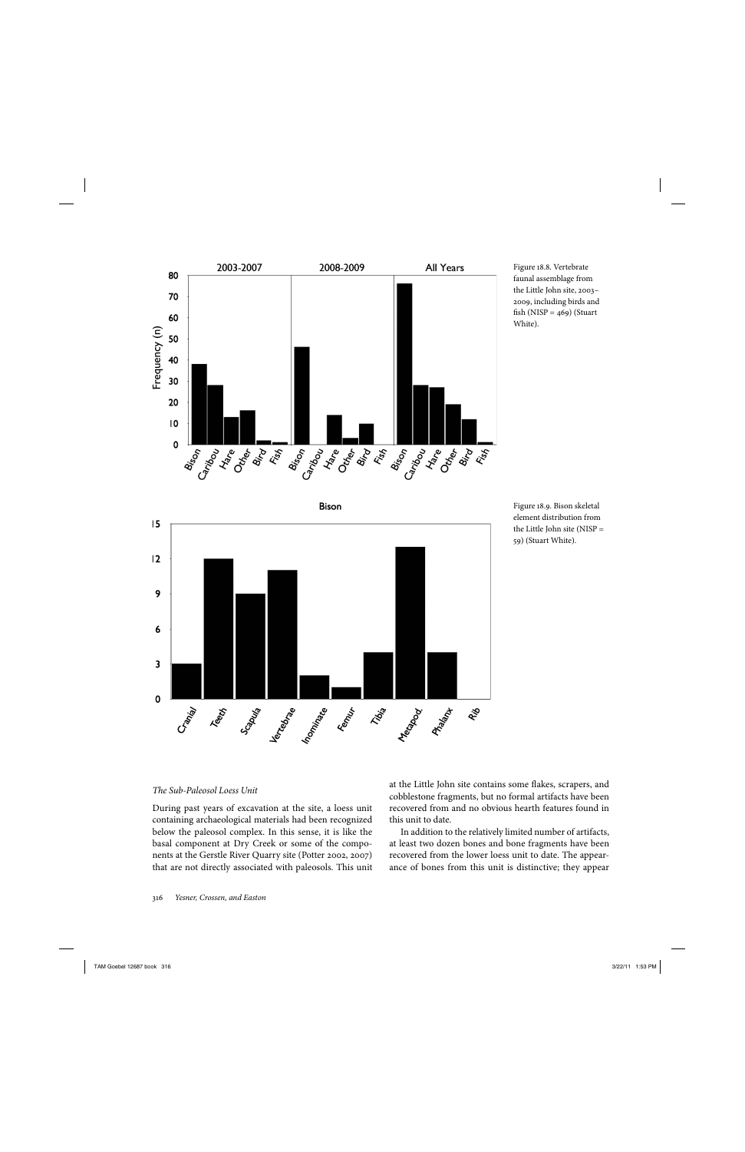

Figure 18.8. Vertebrate faunal assemblage from the Little John site, 2003– 2009, including birds and fish (NISP =  $469$ ) (Stuart White).





#### *The Sub- Paleosol Loess Unit*

During past years of excavation at the site, a loess unit containing archaeological materials had been recognized below the paleosol complex. In this sense, it is like the basal component at Dry Creek or some of the components at the Gerstle River Quarry site (Potter 2002, 2007) that are not directly associated with paleosols. This unit at the Little John site contains some flakes, scrapers, and cobblestone fragments, but no formal artifacts have been recovered from and no obvious hearth features found in this unit to date.

In addition to the relatively limited number of artifacts, at least two dozen bones and bone fragments have been recovered from the lower loess unit to date. The appearance of bones from this unit is distinctive; they appear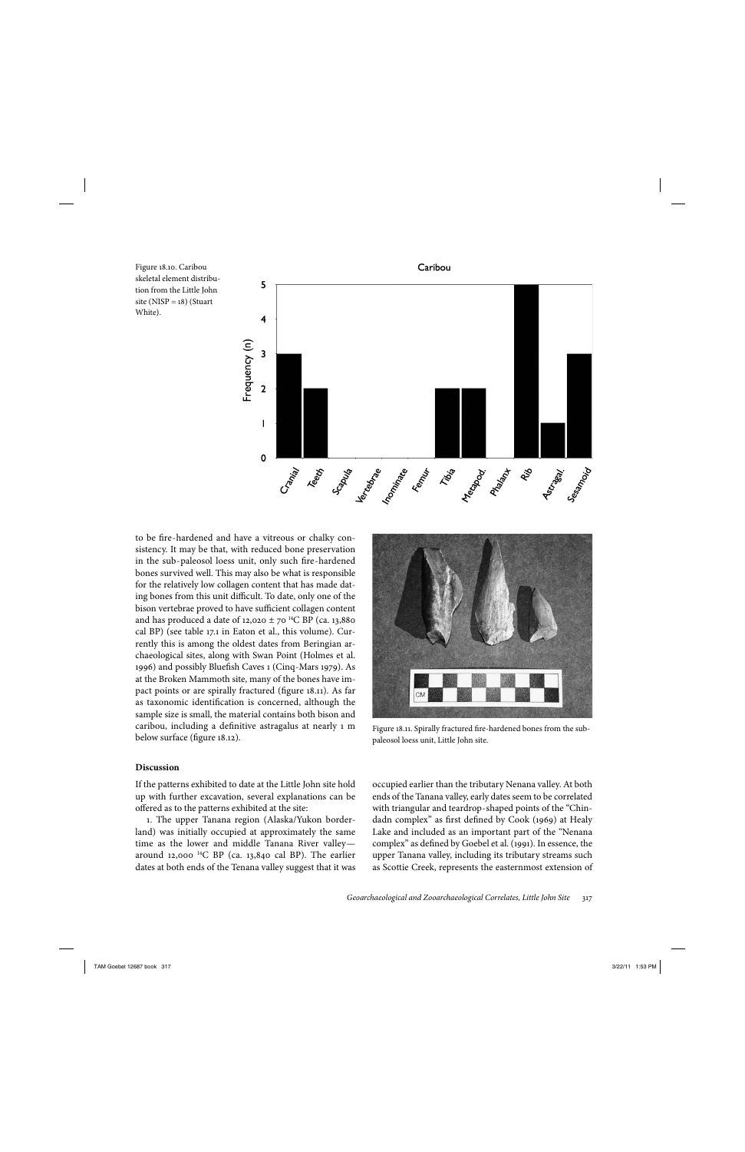Figure 18.10. Caribou skeletal element distribution from the Little John site ( $NISP = 18$ ) (Stuart White).



to be fire-hardened and have a vitreous or chalky consistency. It may be that, with reduced bone preservation in the sub-paleosol loess unit, only such fire-hardened bones survived well. This may also be what is responsible for the relatively low collagen content that has made dating bones from this unit difficult. To date, only one of the bison vertebrae proved to have sufficient collagen content and has produced a date of 12,020  $\pm$  70 <sup>14</sup>C BP (ca. 13,880) cal BP) (see table 17.1 in Eaton et al., this volume). Currently this is among the oldest dates from Beringian archaeological sites, along with Swan Point (Holmes et al. 1996) and possibly Bluefish Caves 1 (Cinq-Mars 1979). As at the Broken Mammoth site, many of the bones have impact points or are spirally fractured (figure 18.11). As far as taxonomic identification is concerned, although the sample size is small, the material contains both bison and caribou, including a definitive astragalus at nearly 1 m below surface (figure 18.12).

#### **Discussion**

If the patterns exhibited to date at the Little John site hold up with further excavation, several explanations can be offered as to the patterns exhibited at the site:

1. The upper Tanana region (Alaska/Yukon borderland) was initially occupied at approximately the same time as the lower and middle Tanana River valley around 12,000  $^{14}C$  BP (ca. 13,840 cal BP). The earlier dates at both ends of the Tenana valley suggest that it was

Figure 18.11. Spirally fractured fire-hardened bones from the subpaleosol loess unit, Little John site.

occupied earlier than the tributary Nenana valley. At both ends of the Tanana valley, early dates seem to be correlated with triangular and teardrop- shaped points of the "Chindadn complex" as first defined by Cook (1969) at Healy Lake and included as an important part of the "Nenana complex" as defined by Goebel et al. (1991). In essence, the upper Tanana valley, including its tributary streams such as Scottie Creek, represents the easternmost extension of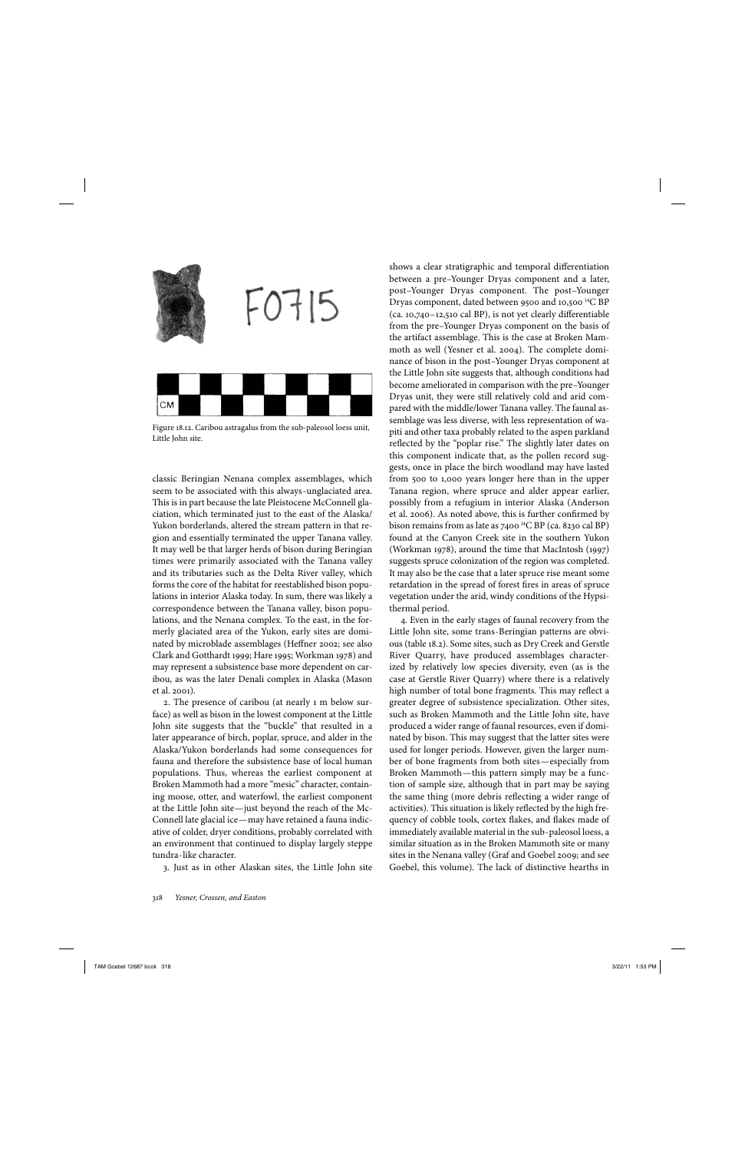

Figure 18.12. Caribou astragalus from the sub- paleosol loess unit, Little John site.

classic Beringian Nenana complex assemblages, which seem to be associated with this always- unglaciated area. This is in part because the late Pleistocene McConnell glaciation, which terminated just to the east of the Alaska/ Yukon borderlands, altered the stream pattern in that region and essentially terminated the upper Tanana valley. It may well be that larger herds of bison during Beringian times were primarily associated with the Tanana valley and its tributaries such as the Delta River valley, which forms the core of the habitat for reestablished bison populations in interior Alaska today. In sum, there was likely a correspondence between the Tanana valley, bison populations, and the Nenana complex. To the east, in the formerly glaciated area of the Yukon, early sites are dominated by microblade assemblages (Heffner 2002; see also Clark and Gotthardt 1999; Hare 1995; Workman 1978) and may represent a subsistence base more dependent on caribou, as was the later Denali complex in Alaska (Mason et al. 2001).

2. The presence of caribou (at nearly 1 m below surface) as well as bison in the lowest component at the Little John site suggests that the "buckle" that resulted in a later appearance of birch, poplar, spruce, and alder in the Alaska/Yukon borderlands had some consequences for fauna and therefore the subsistence base of local human populations. Thus, whereas the earliest component at Broken Mammoth had a more "mesic" character, containing moose, otter, and waterfowl, the earliest component at the Little John site—just beyond the reach of the Mc-Connell late glacial ice—may have retained a fauna indicative of colder, dryer conditions, probably correlated with an environment that continued to display largely steppe tundra- like character.

3. Just as in other Alaskan sites, the Little John site

shows a clear stratigraphic and temporal differentiation between a pre-Younger Dryas component and a later, post– Younger Dryas component. The post– Younger Dryas component, dated between 9500 and 10,500 <sup>14</sup>C BP  $(ca. 10,740-12,510 cal BP)$ , is not yet clearly differentiable from the pre–Younger Dryas component on the basis of the artifact assemblage. This is the case at Broken Mammoth as well (Yesner et al. 2004). The complete dominance of bison in the post-Younger Dryas component at the Little John site suggests that, although conditions had become ameliorated in comparison with the pre-Younger Dryas unit, they were still relatively cold and arid compared with the middle/lower Tanana valley. The faunal assemblage was less diverse, with less representation of wapiti and other taxa probably related to the aspen parkland reflected by the "poplar rise." The slightly later dates on this component indicate that, as the pollen record suggests, once in place the birch woodland may have lasted from 500 to 1,000 years longer here than in the upper Tanana region, where spruce and alder appear earlier, possibly from a refugium in interior Alaska (Anderson et al. 2006). As noted above, this is further confirmed by bison remains from as late as  $7400$  <sup>14</sup>C BP (ca. 8230 cal BP) found at the Canyon Creek site in the southern Yukon (Workman 1978), around the time that MacIntosh (1997) suggests spruce colonization of the region was completed. It may also be the case that a later spruce rise meant some retardation in the spread of forest fires in areas of spruce vegetation under the arid, windy conditions of the Hypsithermal period.

4. Even in the early stages of faunal recovery from the Little John site, some trans- Beringian patterns are obvious (table 18.2). Some sites, such as Dry Creek and Gerstle River Quarry, have produced assemblages characterized by relatively low species diversity, even (as is the case at Gerstle River Quarry) where there is a relatively high number of total bone fragments. This may reflect a greater degree of subsistence specialization. Other sites, such as Broken Mammoth and the Little John site, have produced a wider range of faunal resources, even if dominated by bison. This may suggest that the latter sites were used for longer periods. However, given the larger number of bone fragments from both sites—especially from Broken Mammoth—this pattern simply may be a function of sample size, although that in part may be saying the same thing (more debris reflecting a wider range of activities). This situation is likely reflected by the high frequency of cobble tools, cortex flakes, and flakes made of immediately available material in the sub- paleosol loess, a similar situation as in the Broken Mammoth site or many sites in the Nenana valley (Graf and Goebel 2009; and see Goebel, this volume). The lack of distinctive hearths in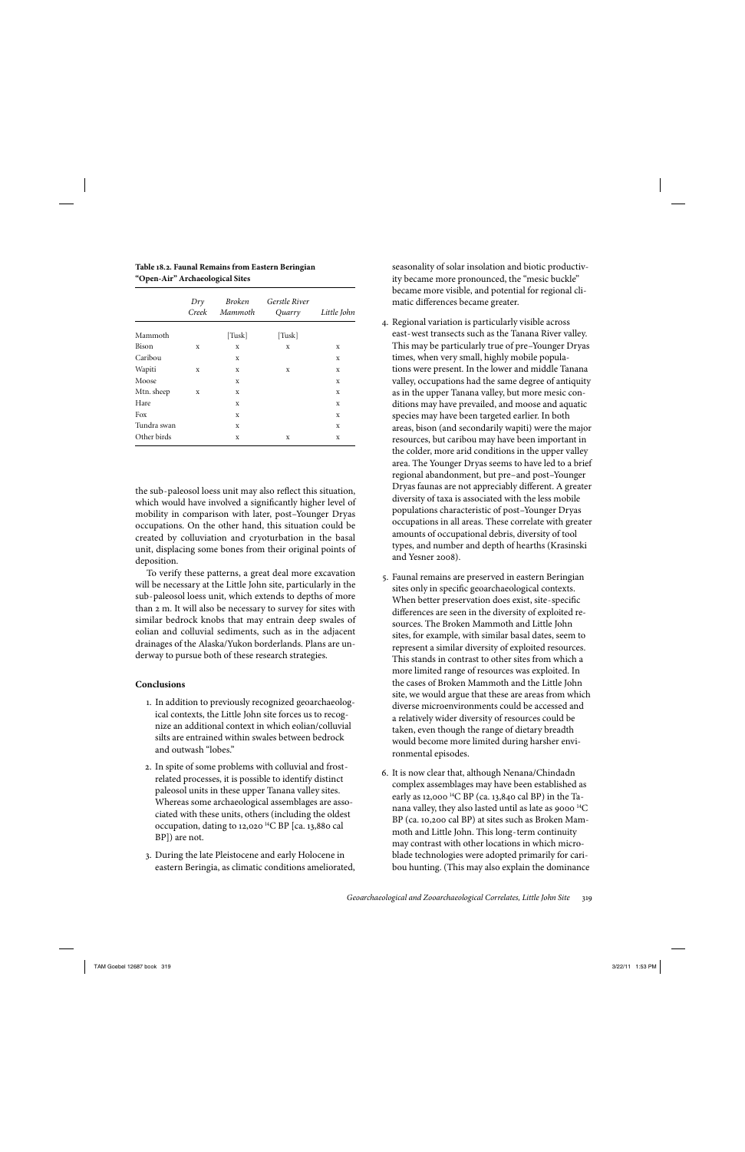**Table 18.2. Faunal Remains from Eastern Beringian "Open-Air" Archaeological Sites**

|             | Dry<br>Creek | Broken<br>Mammoth | <b>Gerstle River</b><br>Quarry | Little John |
|-------------|--------------|-------------------|--------------------------------|-------------|
| Mammoth     |              | [Tusk]            | [Tusk]                         |             |
| Bison       | X            | X                 | X                              | X           |
| Caribou     |              | X                 |                                | X           |
| Wapiti      | X            | X                 | X                              | X           |
| Moose       |              | X                 |                                | X           |
| Mtn. sheep  | X            | X                 |                                | X           |
| Hare        |              | X                 |                                | X           |
| Fox         |              | X                 |                                | X           |
| Tundra swan |              | X                 |                                | X           |
| Other birds |              | X                 | X                              | X           |

the sub-paleosol loess unit may also reflect this situation, which would have involved a significantly higher level of mobility in comparison with later, post-Younger Dryas occupations. On the other hand, this situation could be created by colluviation and cryoturbation in the basal unit, displacing some bones from their original points of deposition.

To verify these patterns, a great deal more excavation will be necessary at the Little John site, particularly in the sub- paleosol loess unit, which extends to depths of more than 2 m. It will also be necessary to survey for sites with similar bedrock knobs that may entrain deep swales of eolian and colluvial sediments, such as in the adjacent drainages of the Alaska/Yukon borderlands. Plans are underway to pursue both of these research strategies.

#### **Conclusions**

- 1. In addition to previously recognized geoarchaeological contexts, the Little John site forces us to recognize an additional context in which eolian/colluvial silts are entrained within swales between bedrock and outwash "lobes."
- 2. In spite of some problems with colluvial and frostrelated processes, it is possible to identify distinct paleosol units in these upper Tanana valley sites. Whereas some archaeological assemblages are associated with these units, others (including the oldest occupation, dating to 12,020  $^{14}$ C BP [ca. 13,880 cal BP]) are not.
- 3. During the late Pleistocene and early Holocene in eastern Beringia, as climatic conditions ameliorated,

seasonality of solar insolation and biotic productivity became more pronounced, the "mesic buckle" became more visible, and potential for regional climatic differences became greater.

- 4. Regional variation is particularly visible across east- west transects such as the Tanana River valley. This may be particularly true of pre– Younger Dryas times, when very small, highly mobile populations were present. In the lower and middle Tanana valley, occupations had the same degree of antiquity as in the upper Tanana valley, but more mesic conditions may have prevailed, and moose and aquatic species may have been targeted earlier. In both areas, bison (and secondarily wapiti) were the major resources, but caribou may have been important in the colder, more arid conditions in the upper valley area. The Younger Dryas seems to have led to a brief regional abandonment, but pre-and post-Younger Dryas faunas are not appreciably different. A greater diversity of taxa is associated with the less mobile populations characteristic of post– Younger Dryas occupations in all areas. These correlate with greater amounts of occupational debris, diversity of tool types, and number and depth of hearths (Krasinski and Yesner 2008).
- 5. Faunal remains are preserved in eastern Beringian sites only in specific geoarchaeological contexts. When better preservation does exist, site-specific differences are seen in the diversity of exploited resources. The Broken Mammoth and Little John sites, for example, with similar basal dates, seem to represent a similar diversity of exploited resources. This stands in contrast to other sites from which a more limited range of resources was exploited. In the cases of Broken Mammoth and the Little John site, we would argue that these are areas from which diverse microenvironments could be accessed and a relatively wider diversity of resources could be taken, even though the range of dietary breadth would become more limited during harsher environmental episodes.
- 6. It is now clear that, although Nenana/Chindadn complex assemblages may have been established as early as 12,000<sup>14</sup>C BP (ca. 13,840 cal BP) in the Tanana valley, they also lasted until as late as 9000  $^{14}$ C BP (ca. 10,200 cal BP) at sites such as Broken Mammoth and Little John. This long- term continuity may contrast with other locations in which microblade technologies were adopted primarily for caribou hunting. (This may also explain the dominance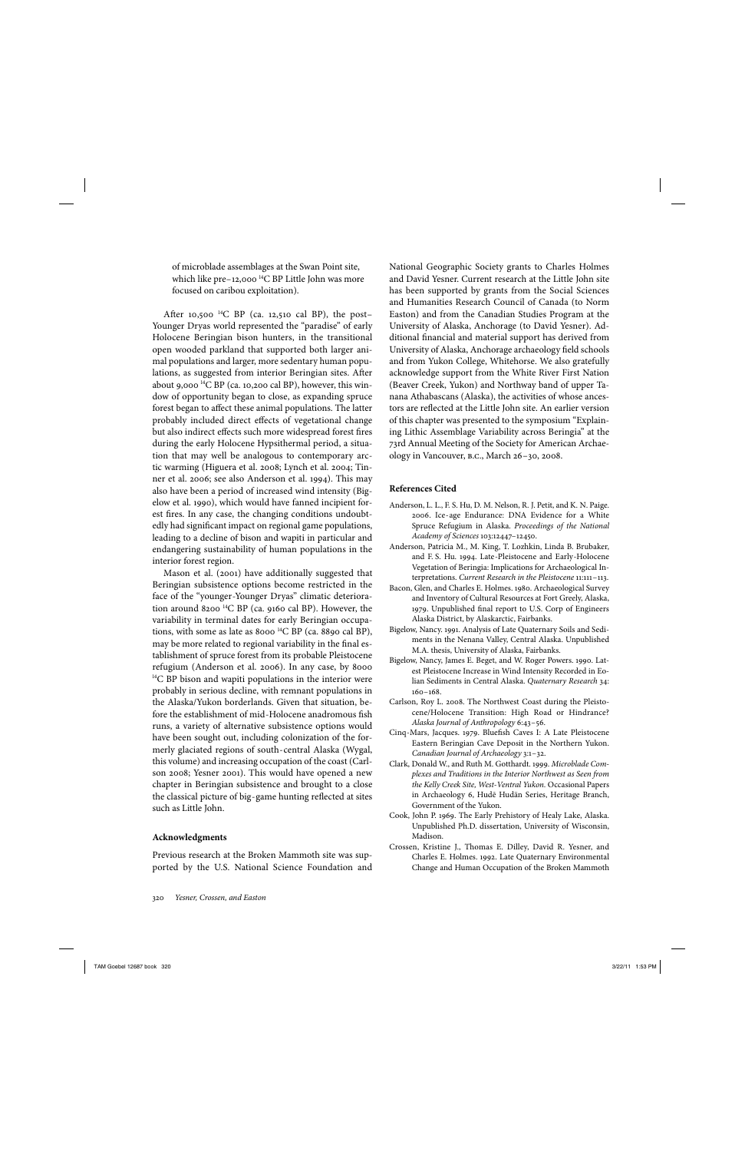of microblade assemblages at the Swan Point site, which like pre-12,000  $^{14}$ C BP Little John was more focused on caribou exploitation).

After 10,500<sup>14</sup>C BP (ca. 12,510 cal BP), the post-Younger Dryas world represented the "paradise" of early Holocene Beringian bison hunters, in the transitional open wooded parkland that supported both larger animal populations and larger, more sedentary human populations, as suggested from interior Beringian sites. After about 9,000<sup>14</sup>C BP (ca. 10,200 cal BP), however, this window of opportunity began to close, as expanding spruce forest began to affect these animal populations. The latter probably included direct effects of vegetational change but also indirect effects such more widespread forest fires during the early Holocene Hypsithermal period, a situation that may well be analogous to contemporary arctic warming (Higuera et al. 2008; Lynch et al. 2004; Tinner et al. 2006; see also Anderson et al. 1994). This may also have been a period of increased wind intensity (Bigelow et al. 1990), which would have fanned incipient forest fires. In any case, the changing conditions undoubtedly had significant impact on regional game populations, leading to a decline of bison and wapiti in particular and endangering sustainability of human populations in the interior forest region.

Mason et al. (2001) have additionally suggested that Beringian subsistence options become restricted in the face of the "younger-Younger Dryas" climatic deterioration around 8200  $^{14}C$  BP (ca. 9160 cal BP). However, the variability in terminal dates for early Beringian occupations, with some as late as 8000<sup>14</sup>C BP (ca. 8890 cal BP), may be more related to regional variability in the final establishment of spruce forest from its probable Pleistocene refugium (Anderson et al. 2006). In any case, by 8000  $^{14}$ C BP bison and wapiti populations in the interior were probably in serious decline, with remnant populations in the Alaska/Yukon borderlands. Given that situation, before the establishment of mid-Holocene anadromous fish runs, a variety of alternative subsistence options would have been sought out, including colonization of the formerly glaciated regions of south- central Alaska (Wygal, this volume) and increasing occupation of the coast (Carlson 2008; Yesner 2001). This would have opened a new chapter in Beringian subsistence and brought to a close the classical picture of big-game hunting reflected at sites such as Little John.

#### **Acknowledgments**

Previous research at the Broken Mammoth site was supported by the U.S. National Science Foundation and National Geographic Society grants to Charles Holmes and David Yesner. Current research at the Little John site has been supported by grants from the Social Sciences and Humanities Research Council of Canada (to Norm Easton) and from the Canadian Studies Program at the University of Alaska, Anchorage (to David Yesner). Additional financial and material support has derived from University of Alaska, Anchorage archaeology field schools and from Yukon College, Whitehorse. We also gratefully acknowledge support from the White River First Nation (Beaver Creek, Yukon) and Northway band of upper Tanana Athabascans (Alaska), the activities of whose ancestors are reflected at the Little John site. An earlier version of this chapter was presented to the symposium "Explaining Lithic Assemblage Variability across Beringia" at the 73rd Annual Meeting of the Society for American Archaeology in Vancouver, b.c., March 26– 30, 2008.

#### **References Cited**

- Anderson, L. L., F. S. Hu, D. M. Nelson, R. J. Petit, and K. N. Paige. 2006. Ice- age Endurance: DNA Evidence for a White Spruce Refugium in Alaska. *Proceedings of the National Academy of Sciences* 103: 12447– 12450.
- Anderson, Patricia M., M. King, T. Lozhkin, Linda B. Brubaker, and F. S. Hu. 1994. Late- Pleistocene and Early- Holocene Vegetation of Beringia: Implications for Archaeological Interpretations. Current Research in the Pleistocene 11:111-113.
- Bacon, Glen, and Charles E. Holmes. 1980. Archaeological Survey and Inventory of Cultural Resources at Fort Greely, Alaska, 1979. Unpublished final report to U.S. Corp of Engineers Alaska District, by Alaskarctic, Fairbanks.
- Bigelow, Nancy. 1991. Analysis of Late Quaternary Soils and Sediments in the Nenana Valley, Central Alaska. Unpublished M.A. thesis, University of Alaska, Fairbanks.
- Bigelow, Nancy, James E. Beget, and W. Roger Powers. 1990. Latest Pleistocene Increase in Wind Intensity Recorded in Eolian Sediments in Central Alaska. *Quaternary Research* 34:  $160 - 168$ .
- Carlson, Roy L. 2008. The Northwest Coast during the Pleistocene/Holocene Transition: High Road or Hindrance? *Alaska Journal of Anthropology* 6: 43– 56.
- Cinq-Mars, Jacques. 1979. Bluefish Caves I: A Late Pleistocene Eastern Beringian Cave Deposit in the Northern Yukon. *Canadian Journal of Archaeology* 3: 1– 32.
- Clark, Donald W., and Ruth M. Gotthardt. 1999. *Microblade Complexes and Traditions in the Interior Northwest as Seen from the Kelly Creek Site, West- Ventral Yukon.* Occasional Papers in Archaeology 6, Hudē Hudän Series, Heritage Branch, Government of the Yukon.
- Cook, John P. 1969. The Early Prehistory of Healy Lake, Alaska. Unpublished Ph.D. dissertation, University of Wisconsin, Madison.
- Crossen, Kristine J., Thomas E. Dilley, David R. Yesner, and Charles E. Holmes. 1992. Late Quaternary Environmental Change and Human Occupation of the Broken Mammoth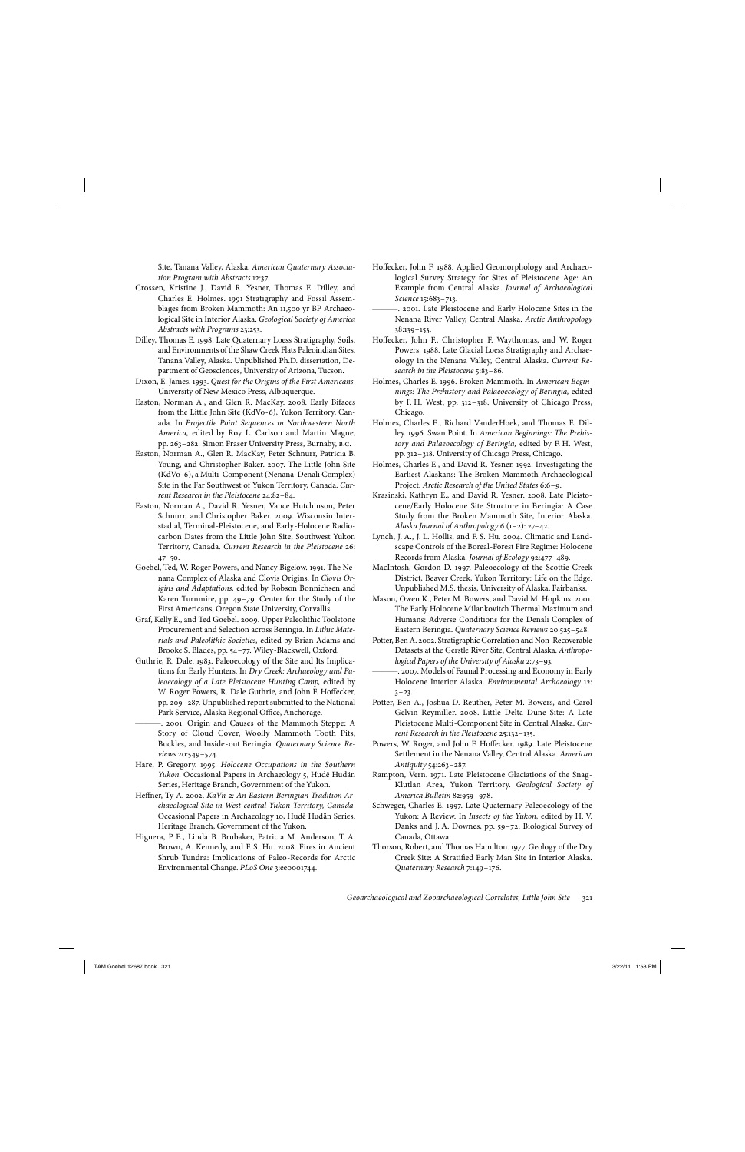Site, Tanana Valley, Alaska. *American Quaternary Association Program with Abstracts* 12: 37.

- Crossen, Kristine J., David R. Yesner, Thomas E. Dilley, and Charles E. Holmes. 1991 Stratigraphy and Fossil Assemblages from Broken Mammoth: An 11,500 yr BP Archaeological Site in Interior Alaska. *Geological Society of America Abstracts with Programs* 23: 253.
- Dilley, Thomas E. 1998. Late Quaternary Loess Stratigraphy, Soils, and Environments of the Shaw Creek Flats Paleoindian Sites, Tanana Valley, Alaska. Unpublished Ph.D. dissertation, Department of Geosciences, University of Arizona, Tucson.
- Dixon, E. James. 1993. *Quest for the Origins of the First Americans.* University of New Mexico Press, Albuquerque.
- Easton, Norman A., and Glen R. MacKay. 2008. Early Bifaces from the Little John Site (KdVo-6), Yukon Territory, Canada. In *Projectile Point Sequences in Northwestern North America,* edited by Roy L. Carlson and Martin Magne, pp. 263– 282. Simon Fraser University Press, Burnaby, b.c.
- Easton, Norman A., Glen R. MacKay, Peter Schnurr, Patricia B. Young, and Christopher Baker. 2007. The Little John Site (KdVo- 6), a Multi- Component (Nenana- Denali Complex) Site in the Far Southwest of Yukon Territory, Canada. *Current Research in the Pleistocene* 24: 82– 84.
- Easton, Norman A., David R. Yesner, Vance Hutchinson, Peter Schnurr, and Christopher Baker. 2009. Wisconsin Interstadial, Terminal- Pleistocene, and Early- Holocene Radiocarbon Dates from the Little John Site, Southwest Yukon Territory, Canada. *Current Research in the Pleistocene* 26:  $47 - 50.$
- Goebel, Ted, W. Roger Powers, and Nancy Bigelow. 1991. The Nenana Complex of Alaska and Clovis Origins. In *Clovis Origins and Adaptations,* edited by Robson Bonnichsen and Karen Turnmire, pp. 49-79. Center for the Study of the First Americans, Oregon State University, Corvallis.
- Graf, Kelly E., and Ted Goebel. 2009. Upper Paleolithic Toolstone Procurement and Selection across Beringia. In *Lithic Materials and Paleolithic Societies,* edited by Brian Adams and Brooke S. Blades, pp. 54-77. Wiley-Blackwell, Oxford.
- Guthrie, R. Dale. 1983. Paleoecology of the Site and Its Implications for Early Hunters. In *Dry Creek: Archaeology and Paleoecology of a Late Pleistocene Hunting Camp,* edited by W. Roger Powers, R. Dale Guthrie, and John F. Hoffecker, pp. 209– 287. Unpublished report submitted to the National Park Service, Alaska Regional Office, Anchorage.
- ———. 2001. Origin and Causes of the Mammoth Steppe: A Story of Cloud Cover, Woolly Mammoth Tooth Pits, Buckles, and Inside- out Beringia. *Quaternary Science Reviews* 20:549-574.
- Hare, P. Gregory. 1995. *Holocene Occupations in the Southern Yukon.* Occasional Papers in Archaeology 5, Hudē Hudän Series, Heritage Branch, Government of the Yukon.
- Heffner, Ty A. 2002. *KaVn-2: An Eastern Beringian Tradition Archaeological Site in West- central Yukon Territory, Canada.* Occasional Papers in Archaeology 10, Hudē Hudän Series, Heritage Branch, Government of the Yukon.
- Higuera, P. E., Linda B. Brubaker, Patricia M. Anderson, T. A. Brown, A. Kennedy, and F. S. Hu. 2008. Fires in Ancient Shrub Tundra: Implications of Paleo- Records for Arctic Environmental Change. *PLoS One* 3:ee0001744.
- Hoffecker, John F. 1988. Applied Geomorphology and Archaeological Survey Strategy for Sites of Pleistocene Age: An Example from Central Alaska. *Journal of Archaeological Science* 15:683-713.
- ———. 2001. Late Pleistocene and Early Holocene Sites in the Nenana River Valley, Central Alaska. *Arctic Anthropology* 38: 139– 153.
- Hoffecker, John F., Christopher F. Waythomas, and W. Roger Powers. 1988. Late Glacial Loess Stratigraphy and Archaeology in the Nenana Valley, Central Alaska. *Current Re*search in the Pleistocene<sup>5:83-86</sup>.
- Holmes, Charles E. 1996. Broken Mammoth. In *American Beginnings: The Prehistory and Palaeoecology of Beringia,* edited by F. H. West, pp. 312– 318. University of Chicago Press, Chicago.
- Holmes, Charles E., Richard VanderHoek, and Thomas E. Dilley. 1996. Swan Point. In *American Beginnings: The Prehistory and Palaeoecology of Beringia,* edited by F. H. West, pp. 312– 318. University of Chicago Press, Chicago.
- Holmes, Charles E., and David R. Yesner. 1992. Investigating the Earliest Alaskans: The Broken Mammoth Archaeological Project. *Arctic Research of the United States* 6:6-9.
- Krasinski, Kathryn E., and David R. Yesner. 2008. Late Pleistocene/Early Holocene Site Structure in Beringia: A Case Study from the Broken Mammoth Site, Interior Alaska. *Alaska Journal of Anthropology* 6 (1– 2): 27– 42.
- Lynch, J. A., J. L. Hollis, and F. S. Hu. 2004. Climatic and Landscape Controls of the Boreal- Forest Fire Regime: Holocene Records from Alaska. *Journal of Ecology* 92: 477– 489.
- MacIntosh, Gordon D. 1997. Paleoecology of the Scottie Creek District, Beaver Creek, Yukon Territory: Life on the Edge. Unpublished M.S. thesis, University of Alaska, Fairbanks.
- Mason, Owen K., Peter M. Bowers, and David M. Hopkins. 2001. The Early Holocene Milankovitch Thermal Maximum and Humans: Adverse Conditions for the Denali Complex of Eastern Beringia. *Quaternary Science Reviews* 20:525-548.
- Potter, Ben A. 2002. Stratigraphic Correlation and Non- Recoverable Datasets at the Gerstle River Site, Central Alaska. *Anthropo*logical Papers of the University of Alaska 2:73-93.
- ———. 2007. Models of Faunal Processing and Economy in Early Holocene Interior Alaska. *Environmental Archaeology* 12:  $3 - 23$ .
- Potter, Ben A., Joshua D. Reuther, Peter M. Bowers, and Carol Gelvin- Reymiller. 2008. Little Delta Dune Site: A Late Pleistocene Multi-Component Site in Central Alaska. Cur*rent Research in the Pleistocene* 25:132-135.
- Powers, W. Roger, and John F. Hoffecker. 1989. Late Pleistocene Settlement in the Nenana Valley, Central Alaska. *American Antiquity* 54: 263– 287.
- Rampton, Vern. 1971. Late Pleistocene Glaciations of the Snag-Klutlan Area, Yukon Territory. *Geological Society of America Bulletin* 82: 959– 978.
- Schweger, Charles E. 1997. Late Quaternary Paleoecology of the Yukon: A Review. In *Insects of the Yukon,* edited by H. V. Danks and J. A. Downes, pp. 59– 72. Biological Survey of Canada, Ottawa.
- Thorson, Robert, and Thomas Hamilton. 1977. Geology of the Dry Creek Site: A Stratified Early Man Site in Interior Alaska. *Quaternary Research* 7: 149– 176.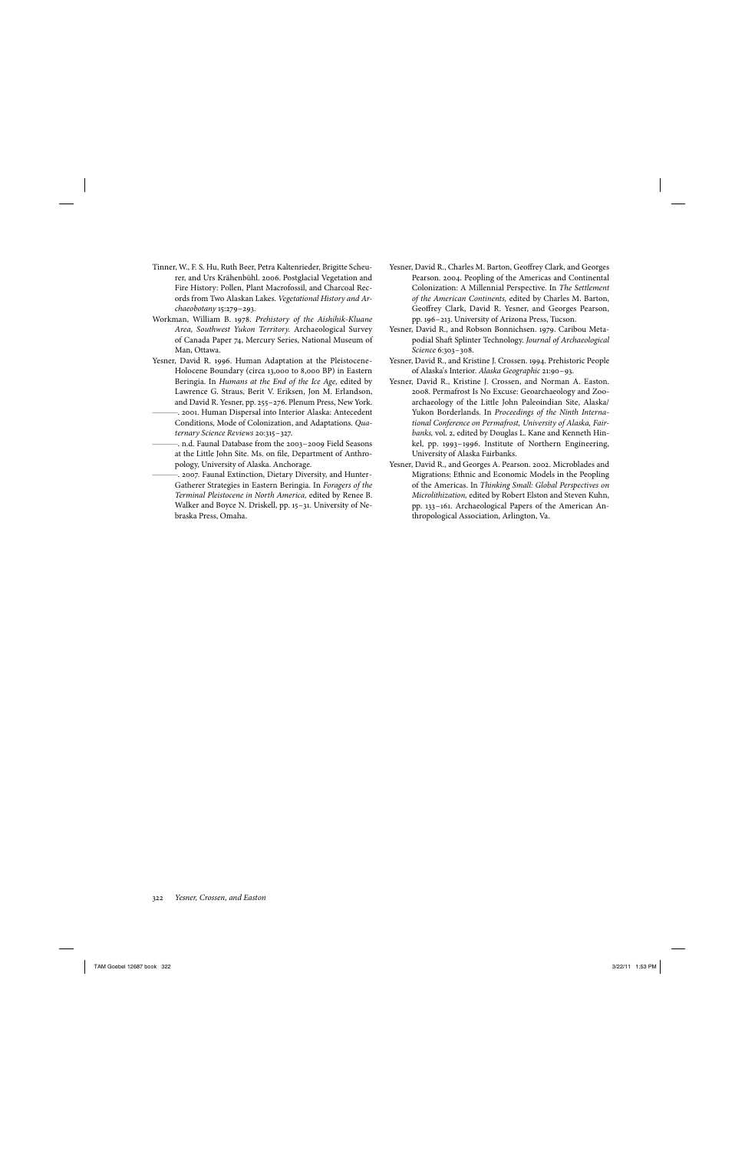- Tinner, W., F. S. Hu, Ruth Beer, Petra Kaltenrieder, Brigitte Scheurer, and Urs Krähenbühl. 2006. Postglacial Vegetation and Fire History: Pollen, Plant Macrofossil, and Charcoal Records from Two Alaskan Lakes. *Vegetational History and Archaeobotany* 15:279-293.
- Workman, William B. 1978. *Prehistory of the Aishihik- Kluane Area, Southwest Yukon Territory.* Archaeological Survey of Canada Paper 74, Mercury Series, National Museum of Man, Ottawa.
- Yesner, David R. 1996. Human Adaptation at the Pleistocene-Holocene Boundary (circa 13,000 to 8,000 BP) in Eastern Beringia. In *Humans at the End of the Ice Age,* edited by Lawrence G. Straus, Berit V. Eriksen, Jon M. Erlandson, and David R. Yesner, pp. 255– 276. Plenum Press, New York.
- ———. 2001. Human Dispersal into Interior Alaska: Antecedent Conditions, Mode of Colonization, and Adaptations. *Quaternary Science Reviews* 20: 315– 327.
- ———. n.d. Faunal Database from the 2003– 2009 Field Seasons at the Little John Site. Ms. on file, Department of Anthropology, University of Alaska. Anchorage.
- ———. 2007. Faunal Extinction, Dietary Diversity, and Hunter-Gatherer Strategies in Eastern Beringia. In *Foragers of the Terminal Pleistocene in North America,* edited by Renee B. Walker and Boyce N. Driskell, pp. 15-31. University of Nebraska Press, Omaha.
- Yesner, David R., Charles M. Barton, Geoffrey Clark, and Georges Pearson. 2004. Peopling of the Americas and Continental Colonization: A Millennial Perspective. In *The Settlement of the American Continents,* edited by Charles M. Barton, Geoffrey Clark, David R. Yesner, and Georges Pearson, pp. 196– 213. University of Arizona Press, Tucson.
- Yesner, David R., and Robson Bonnichsen. 1979. Caribou Metapodial Shaft Splinter Technology. *Journal of Archaeological Science* 6: 303– 308.
- Yesner, David R., and Kristine J. Crossen. 1994. Prehistoric People of Alaska's Interior. *Alaska Geographic* 21: 90– 93.
- Yesner, David R., Kristine J. Crossen, and Norman A. Easton. 2008. Permafrost Is No Excuse: Geoarchaeology and Zooarchaeology of the Little John Paleoindian Site, Alaska/ Yukon Borderlands. In *Proceedings of the Ninth International Conference on Permafrost, University of Alaska, Fairbanks,* vol. 2, edited by Douglas L. Kane and Kenneth Hinkel, pp. 1993– 1996. Institute of Northern Engineering, University of Alaska Fairbanks.
- Yesner, David R., and Georges A. Pearson. 2002. Microblades and Migrations: Ethnic and Economic Models in the Peopling of the Americas. In *Thinking Small: Global Perspectives on Microlithization,* edited by Robert Elston and Steven Kuhn, pp. 133– 161. Archaeological Papers of the American Anthropological Association, Arlington, Va.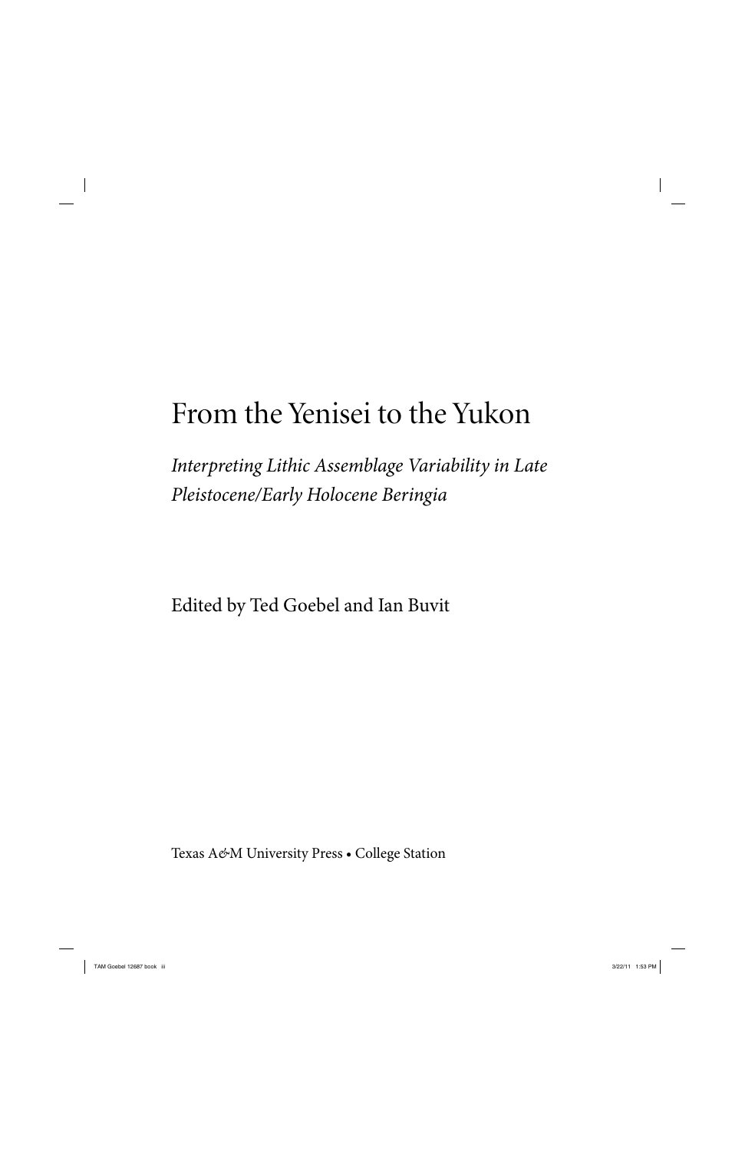# From the Yenisei to the Yukon

*Interpreting Lithic Assemblage Variability in Late Pleistocene/ Early Holocene Beringia*

Edited by Ted Goebel and Ian Buvit

Texas A*&*M University Press • College Station